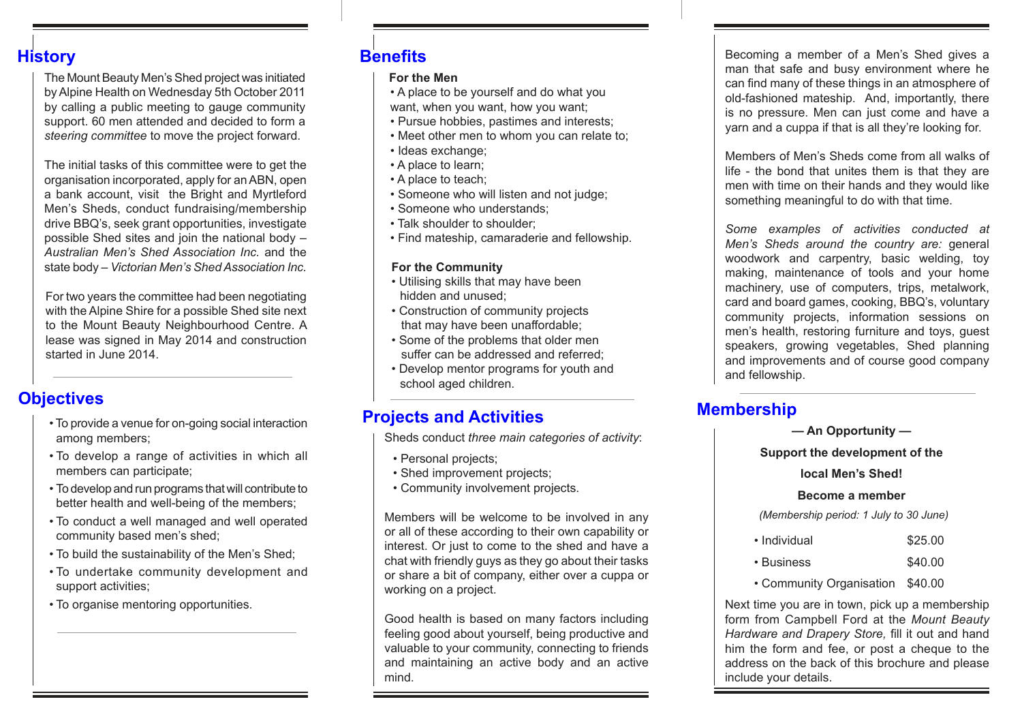## **History**

The Mount Beauty Men's Shed project was initiated by Alpine Health on Wednesday 5th October 2011 by calling a public meeting to gauge community support. 60 men attended and decided to form a *steering committee* to move the project forward.

The initial tasks of this committee were to get the organisation incorporated, apply for an ABN, open a bank account, visit the Bright and Myrtleford Men's Sheds, conduct fundraising/membership drive BBQ's, seek grant opportunities, investigate possible Shed sites and join the national body – *Australian Men's Shed Association Inc.* and the state body *– Victorian Men's Shed Association Inc.*

For two years the committee had been negotiating with the Alpine Shire for a possible Shed site next to the Mount Beauty Neighbourhood Centre. A lease was signed in May 2014 and construction started in June 2014.

# **Objectives**

- To provide a venue for on-going social interaction among members;
- To develop a range of activities in which all members can participate;
- To develop and run programs that will contribute to better health and well-being of the members;
- To conduct a well managed and well operated community based men's shed;
- To build the sustainability of the Men's Shed;
- To undertake community development and support activities;
- To organise mentoring opportunities.

# **Benefits**

#### **For the Men**

- A place to be yourself and do what you want, when you want, how you want;
- Pursue hobbies, pastimes and interests;
- Meet other men to whom you can relate to;
- Ideas exchange;
- A place to learn;
- A place to teach;
- Someone who will listen and not judge;
- Someone who understands;
- Talk shoulder to shoulder;
- Find mateship, camaraderie and fellowship.

## **For the Community**

- Utilising skills that may have been hidden and unused;
- Construction of community projects that may have been unaffordable;
- Some of the problems that older men suffer can be addressed and referred;
- Develop mentor programs for youth and school aged children.

# **Projects and Activities**

Sheds conduct *three main categories of activity*:

- Personal projects;
- Shed improvement projects;
- Community involvement projects.

Members will be welcome to be involved in any or all of these according to their own capability or interest. Or just to come to the shed and have a chat with friendly guys as they go about their tasks or share a bit of company, either over a cuppa or working on a project.

Good health is based on many factors including feeling good about yourself, being productive and valuable to your community, connecting to friends and maintaining an active body and an active mind.

Becoming a member of a Men's Shed gives a man that safe and busy environment where he can find many of these things in an atmosphere of old-fashioned mateship. And, importantly, there is no pressure. Men can just come and have a yarn and a cuppa if that is all they're looking for.

Members of Men's Sheds come from all walks of life - the bond that unites them is that they are men with time on their hands and they would like something meaningful to do with that time.

*Some examples of activities conducted at Men's Sheds around the country are:* general woodwork and carpentry, basic welding, toy making, maintenance of tools and your home machinery, use of computers, trips, metalwork, card and board games, cooking, BBQ's, voluntary community projects, information sessions on men's health, restoring furniture and toys, guest speakers, growing vegetables, Shed planning and improvements and of course good company and fellowship.

# **Membership**

**— An Opportunity —**

**Support the development of the** 

## **local Men's Shed!**

#### **Become a member**

*(Membership period: 1 July to 30 June)*

- Individual \$25.00
- Business \$40.00
- Community Organisation \$40.00

Next time you are in town, pick up a membership form from Campbell Ford at the *Mount Beauty Hardware and Drapery Store,* fill it out and hand him the form and fee, or post a cheque to the address on the back of this brochure and please include your details.